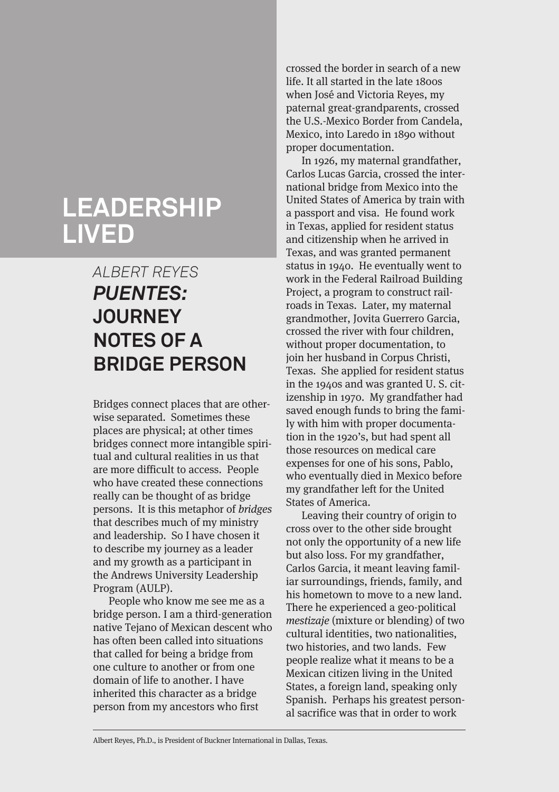# **LEADERSHIP LIVED**

# *ALBERT REYES PUENTES:* **JOURNEY NOTES OF A BRIDGE PERSON**

Bridges connect places that are otherwise separated. Sometimes these places are physical; at other times bridges connect more intangible spiritual and cultural realities in us that are more difficult to access. People who have created these connections really can be thought of as bridge persons. It is this metaphor of bridges that describes much of my ministry and leadership. So I have chosen it to describe my journey as a leader and my growth as a participant in the Andrews University Leadership Program (AULP).

People who know me see me as a bridge person. I am a third-generation native Tejano of Mexican descent who has often been called into situations that called for being a bridge from one culture to another or from one domain of life to another. I have inherited this character as a bridge person from my ancestors who first

crossed the border in search of a new life. It all started in the late 1800s when José and Victoria Reyes, my paternal great-grandparents, crossed the U.S.-Mexico Border from Candela, Mexico, into Laredo in 1890 without proper documentation.

In 1926, my maternal grandfather, Carlos Lucas Garcia, crossed the international bridge from Mexico into the United States of America by train with a passport and visa. He found work in Texas, applied for resident status and citizenship when he arrived in Texas, and was granted permanent status in 1940. He eventually went to work in the Federal Railroad Building Project, a program to construct railroads in Texas. Later, my maternal grandmother, Jovita Guerrero Garcia, crossed the river with four children, without proper documentation, to join her husband in Corpus Christi, Texas. She applied for resident status in the 1940s and was granted U. S. citizenship in 1970. My grandfather had saved enough funds to bring the family with him with proper documentation in the 1920's, but had spent all those resources on medical care expenses for one of his sons, Pablo, who eventually died in Mexico before my grandfather left for the United States of America.

Leaving their country of origin to cross over to the other side brought not only the opportunity of a new life but also loss. For my grandfather, Carlos Garcia, it meant leaving familiar surroundings, friends, family, and his hometown to move to a new land. There he experienced a geo-political mestizaje (mixture or blending) of two cultural identities, two nationalities, two histories, and two lands. Few people realize what it means to be a Mexican citizen living in the United States, a foreign land, speaking only Spanish. Perhaps his greatest personal sacrifice was that in order to work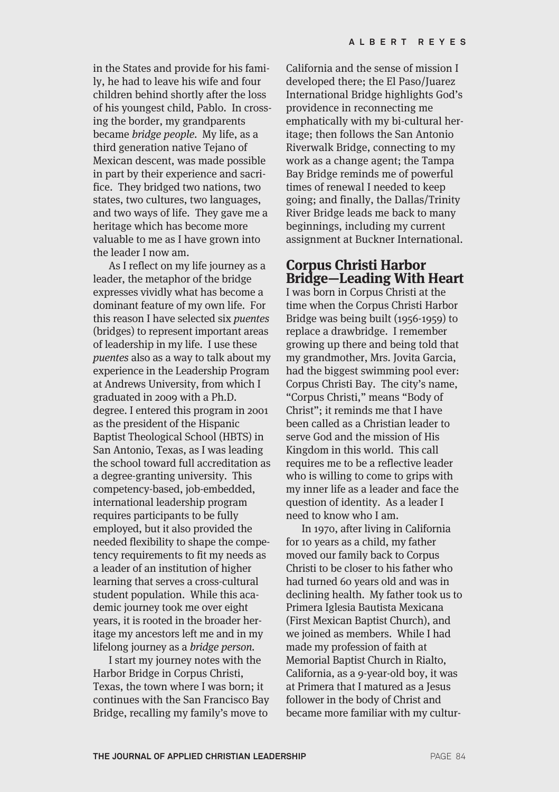in the States and provide for his family, he had to leave his wife and four children behind shortly after the loss of his youngest child, Pablo. In crossing the border, my grandparents became bridge people. My life, as a third generation native Tejano of Mexican descent, was made possible in part by their experience and sacrifice. They bridged two nations, two states, two cultures, two languages, and two ways of life. They gave me a heritage which has become more valuable to me as I have grown into the leader I now am.

As I reflect on my life journey as a leader, the metaphor of the bridge expresses vividly what has become a dominant feature of my own life. For this reason I have selected six puentes (bridges) to represent important areas of leadership in my life. I use these puentes also as a way to talk about my experience in the Leadership Program at Andrews University, from which I graduated in 2009 with a Ph.D. degree. I entered this program in 2001 as the president of the Hispanic Baptist Theological School (HBTS) in San Antonio, Texas, as I was leading the school toward full accreditation as a degree-granting university. This competency-based, job-embedded, international leadership program requires participants to be fully employed, but it also provided the needed flexibility to shape the competency requirements to fit my needs as a leader of an institution of higher learning that serves a cross-cultural student population. While this academic journey took me over eight years, it is rooted in the broader heritage my ancestors left me and in my lifelong journey as a bridge person.

I start my journey notes with the Harbor Bridge in Corpus Christi, Texas, the town where I was born; it continues with the San Francisco Bay Bridge, recalling my family's move to

California and the sense of mission I developed there; the El Paso/Juarez International Bridge highlights God's providence in reconnecting me emphatically with my bi-cultural heritage; then follows the San Antonio Riverwalk Bridge, connecting to my work as a change agent; the Tampa Bay Bridge reminds me of powerful times of renewal I needed to keep going; and finally, the Dallas/Trinity River Bridge leads me back to many beginnings, including my current assignment at Buckner International.

## **Corpus Christi Harbor Bridge—Leading With Heart**

I was born in Corpus Christi at the time when the Corpus Christi Harbor Bridge was being built (1956-1959) to replace a drawbridge. I remember growing up there and being told that my grandmother, Mrs. Jovita Garcia, had the biggest swimming pool ever: Corpus Christi Bay. The city's name, "Corpus Christi," means "Body of Christ"; it reminds me that I have been called as a Christian leader to serve God and the mission of His Kingdom in this world. This call requires me to be a reflective leader who is willing to come to grips with my inner life as a leader and face the question of identity. As a leader I need to know who I am.

In 1970, after living in California for 10 years as a child, my father moved our family back to Corpus Christi to be closer to his father who had turned 60 years old and was in declining health. My father took us to Primera Iglesia Bautista Mexicana (First Mexican Baptist Church), and we joined as members. While I had made my profession of faith at Memorial Baptist Church in Rialto, California, as a 9-year-old boy, it was at Primera that I matured as a Jesus follower in the body of Christ and became more familiar with my cultur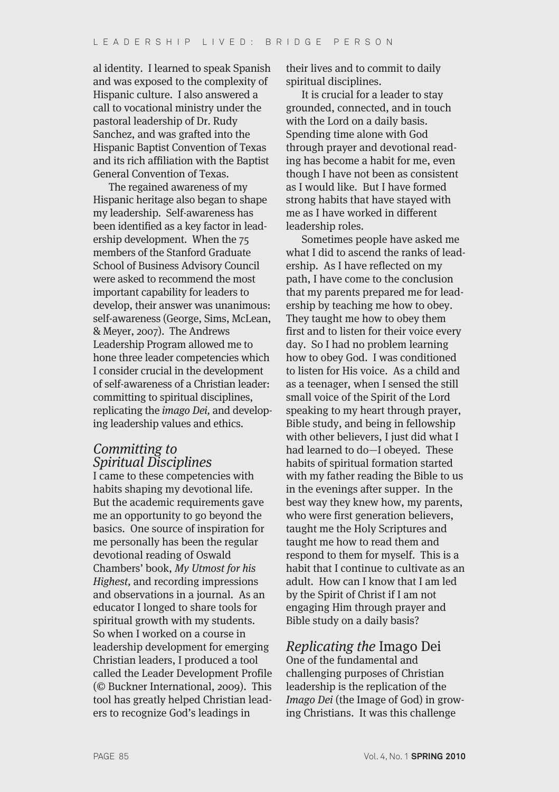al identity. I learned to speak Spanish and was exposed to the complexity of Hispanic culture. I also answered a call to vocational ministry under the pastoral leadership of Dr. Rudy Sanchez, and was grafted into the Hispanic Baptist Convention of Texas and its rich affiliation with the Baptist General Convention of Texas.

The regained awareness of my Hispanic heritage also began to shape my leadership. Self-awareness has been identified as a key factor in leadership development. When the 75 members of the Stanford Graduate School of Business Advisory Council were asked to recommend the most important capability for leaders to develop, their answer was unanimous: self-awareness (George, Sims, McLean, & Meyer, 2007). The Andrews Leadership Program allowed me to hone three leader competencies which I consider crucial in the development of self-awareness of a Christian leader: committing to spiritual disciplines, replicating the imago Dei, and developing leadership values and ethics.

### Committing to Spiritual Disciplines

I came to these competencies with habits shaping my devotional life. But the academic requirements gave me an opportunity to go beyond the basics. One source of inspiration for me personally has been the regular devotional reading of Oswald Chambers' book, My Utmost for his Highest, and recording impressions and observations in a journal. As an educator I longed to share tools for spiritual growth with my students. So when I worked on a course in leadership development for emerging Christian leaders, I produced a tool called the Leader Development Profile (© Buckner International, 2009). This tool has greatly helped Christian leaders to recognize God's leadings in

their lives and to commit to daily spiritual disciplines.

It is crucial for a leader to stay grounded, connected, and in touch with the Lord on a daily basis. Spending time alone with God through prayer and devotional reading has become a habit for me, even though I have not been as consistent as I would like. But I have formed strong habits that have stayed with me as I have worked in different leadership roles.

Sometimes people have asked me what I did to ascend the ranks of leadership. As I have reflected on my path, I have come to the conclusion that my parents prepared me for leadership by teaching me how to obey. They taught me how to obey them first and to listen for their voice every day. So I had no problem learning how to obey God. I was conditioned to listen for His voice. As a child and as a teenager, when I sensed the still small voice of the Spirit of the Lord speaking to my heart through prayer, Bible study, and being in fellowship with other believers, I just did what I had learned to do—I obeyed. These habits of spiritual formation started with my father reading the Bible to us in the evenings after supper. In the best way they knew how, my parents, who were first generation believers, taught me the Holy Scriptures and taught me how to read them and respond to them for myself. This is a habit that I continue to cultivate as an adult. How can I know that I am led by the Spirit of Christ if I am not engaging Him through prayer and Bible study on a daily basis?

### Replicating the Imago Dei

One of the fundamental and challenging purposes of Christian leadership is the replication of the Imago Dei (the Image of God) in growing Christians. It was this challenge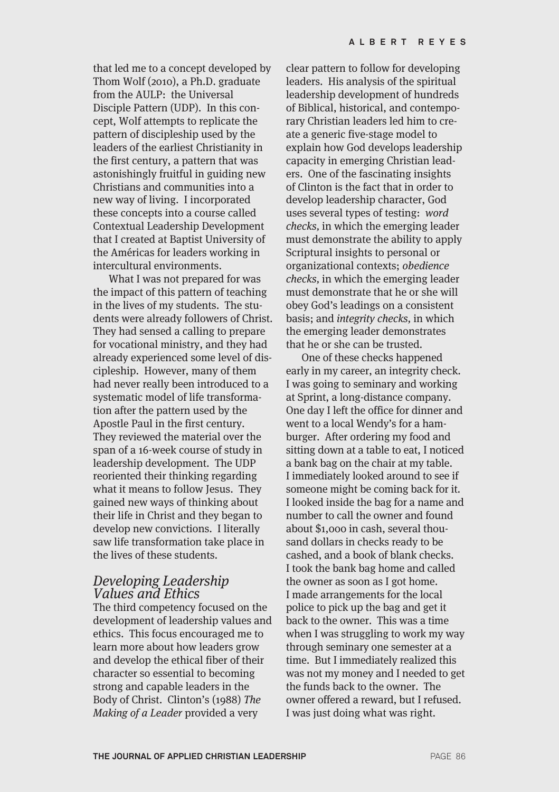that led me to a concept developed by Thom Wolf (2010), a Ph.D. graduate from the AULP: the Universal Disciple Pattern (UDP). In this concept, Wolf attempts to replicate the pattern of discipleship used by the leaders of the earliest Christianity in the first century, a pattern that was astonishingly fruitful in guiding new Christians and communities into a new way of living. I incorporated these concepts into a course called Contextual Leadership Development that I created at Baptist University of the Américas for leaders working in intercultural environments.

What I was not prepared for was the impact of this pattern of teaching in the lives of my students. The students were already followers of Christ. They had sensed a calling to prepare for vocational ministry, and they had already experienced some level of discipleship. However, many of them had never really been introduced to a systematic model of life transformation after the pattern used by the Apostle Paul in the first century. They reviewed the material over the span of a 16-week course of study in leadership development. The UDP reoriented their thinking regarding what it means to follow Jesus. They gained new ways of thinking about their life in Christ and they began to develop new convictions. I literally saw life transformation take place in the lives of these students.

#### Developing Leadership Values and Ethics

The third competency focused on the development of leadership values and ethics. This focus encouraged me to learn more about how leaders grow and develop the ethical fiber of their character so essential to becoming strong and capable leaders in the Body of Christ. Clinton's (1988) The Making of a Leader provided a very

clear pattern to follow for developing leaders. His analysis of the spiritual leadership development of hundreds of Biblical, historical, and contemporary Christian leaders led him to create a generic five-stage model to explain how God develops leadership capacity in emerging Christian leaders. One of the fascinating insights of Clinton is the fact that in order to develop leadership character, God uses several types of testing: word checks, in which the emerging leader must demonstrate the ability to apply Scriptural insights to personal or organizational contexts; obedience checks, in which the emerging leader must demonstrate that he or she will obey God's leadings on a consistent basis; and integrity checks, in which the emerging leader demonstrates that he or she can be trusted.

One of these checks happened early in my career, an integrity check. I was going to seminary and working at Sprint, a long-distance company. One day I left the office for dinner and went to a local Wendy's for a hamburger. After ordering my food and sitting down at a table to eat, I noticed a bank bag on the chair at my table. I immediately looked around to see if someone might be coming back for it. I looked inside the bag for a name and number to call the owner and found about \$1,000 in cash, several thousand dollars in checks ready to be cashed, and a book of blank checks. I took the bank bag home and called the owner as soon as I got home. I made arrangements for the local police to pick up the bag and get it back to the owner. This was a time when I was struggling to work my way through seminary one semester at a time. But I immediately realized this was not my money and I needed to get the funds back to the owner. The owner offered a reward, but I refused. I was just doing what was right.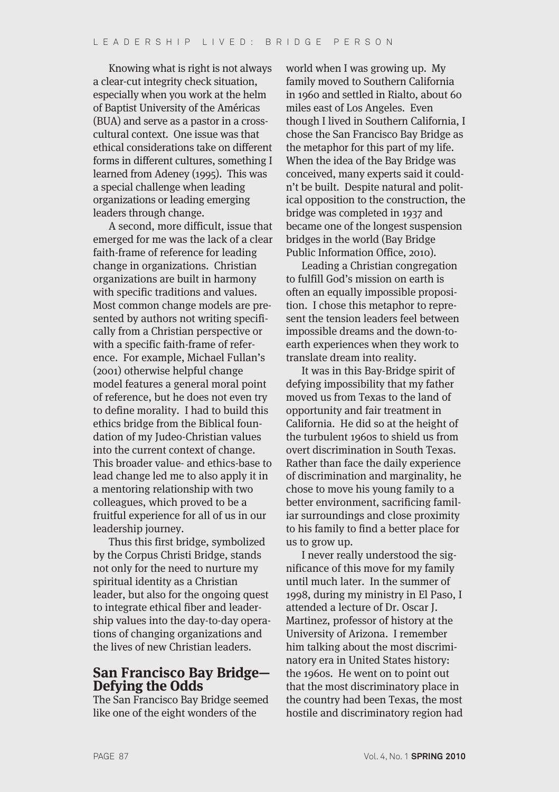Knowing what is right is not always a clear-cut integrity check situation, especially when you work at the helm of Baptist University of the Américas (BUA) and serve as a pastor in a crosscultural context. One issue was that ethical considerations take on different forms in different cultures, something I learned from Adeney (1995). This was a special challenge when leading organizations or leading emerging leaders through change.

A second, more difficult, issue that emerged for me was the lack of a clear faith-frame of reference for leading change in organizations. Christian organizations are built in harmony with specific traditions and values. Most common change models are presented by authors not writing specifically from a Christian perspective or with a specific faith-frame of reference. For example, Michael Fullan's (2001) otherwise helpful change model features a general moral point of reference, but he does not even try to define morality. I had to build this ethics bridge from the Biblical foundation of my Judeo-Christian values into the current context of change. This broader value- and ethics-base to lead change led me to also apply it in a mentoring relationship with two colleagues, which proved to be a fruitful experience for all of us in our leadership journey.

Thus this first bridge, symbolized by the Corpus Christi Bridge, stands not only for the need to nurture my spiritual identity as a Christian leader, but also for the ongoing quest to integrate ethical fiber and leadership values into the day-to-day operations of changing organizations and the lives of new Christian leaders.

# **San Francisco Bay Bridge— Defying the Odds**

The San Francisco Bay Bridge seemed like one of the eight wonders of the

world when I was growing up. My family moved to Southern California in 1960 and settled in Rialto, about 60 miles east of Los Angeles. Even though I lived in Southern California, I chose the San Francisco Bay Bridge as the metaphor for this part of my life. When the idea of the Bay Bridge was conceived, many experts said it couldn't be built. Despite natural and political opposition to the construction, the bridge was completed in 1937 and became one of the longest suspension bridges in the world (Bay Bridge Public Information Office, 2010).

Leading a Christian congregation to fulfill God's mission on earth is often an equally impossible proposition. I chose this metaphor to represent the tension leaders feel between impossible dreams and the down-toearth experiences when they work to translate dream into reality.

It was in this Bay-Bridge spirit of defying impossibility that my father moved us from Texas to the land of opportunity and fair treatment in California. He did so at the height of the turbulent 1960s to shield us from overt discrimination in South Texas. Rather than face the daily experience of discrimination and marginality, he chose to move his young family to a better environment, sacrificing familiar surroundings and close proximity to his family to find a better place for us to grow up.

I never really understood the significance of this move for my family until much later. In the summer of 1998, during my ministry in El Paso, I attended a lecture of Dr. Oscar J. Martinez, professor of history at the University of Arizona. I remember him talking about the most discriminatory era in United States history: the 1960s. He went on to point out that the most discriminatory place in the country had been Texas, the most hostile and discriminatory region had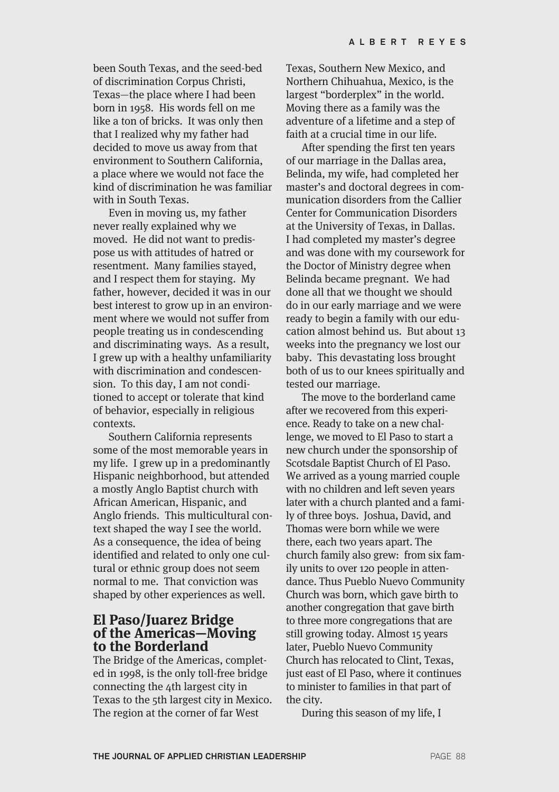been South Texas, and the seed-bed of discrimination Corpus Christi, Texas—the place where I had been born in 1958. His words fell on me like a ton of bricks. It was only then that I realized why my father had decided to move us away from that environment to Southern California, a place where we would not face the kind of discrimination he was familiar with in South Texas.

Even in moving us, my father never really explained why we moved. He did not want to predispose us with attitudes of hatred or resentment. Many families stayed, and I respect them for staying. My father, however, decided it was in our best interest to grow up in an environment where we would not suffer from people treating us in condescending and discriminating ways. As a result, I grew up with a healthy unfamiliarity with discrimination and condescension. To this day, I am not conditioned to accept or tolerate that kind of behavior, especially in religious contexts.

Southern California represents some of the most memorable years in my life. I grew up in a predominantly Hispanic neighborhood, but attended a mostly Anglo Baptist church with African American, Hispanic, and Anglo friends. This multicultural context shaped the way I see the world. As a consequence, the idea of being identified and related to only one cultural or ethnic group does not seem normal to me. That conviction was shaped by other experiences as well.

### **El Paso/Juarez Bridge of the Americas—Moving to the Borderland**

The Bridge of the Americas, completed in 1998, is the only toll-free bridge connecting the 4th largest city in Texas to the 5th largest city in Mexico. The region at the corner of far West

Texas, Southern New Mexico, and Northern Chihuahua, Mexico, is the largest "borderplex" in the world. Moving there as a family was the adventure of a lifetime and a step of faith at a crucial time in our life.

After spending the first ten years of our marriage in the Dallas area, Belinda, my wife, had completed her master's and doctoral degrees in communication disorders from the Callier Center for Communication Disorders at the University of Texas, in Dallas. I had completed my master's degree and was done with my coursework for the Doctor of Ministry degree when Belinda became pregnant. We had done all that we thought we should do in our early marriage and we were ready to begin a family with our education almost behind us. But about 13 weeks into the pregnancy we lost our baby. This devastating loss brought both of us to our knees spiritually and tested our marriage.

The move to the borderland came after we recovered from this experience. Ready to take on a new challenge, we moved to El Paso to start a new church under the sponsorship of Scotsdale Baptist Church of El Paso. We arrived as a young married couple with no children and left seven years later with a church planted and a family of three boys. Joshua, David, and Thomas were born while we were there, each two years apart. The church family also grew: from six family units to over 120 people in attendance. Thus Pueblo Nuevo Community Church was born, which gave birth to another congregation that gave birth to three more congregations that are still growing today. Almost 15 years later, Pueblo Nuevo Community Church has relocated to Clint, Texas, just east of El Paso, where it continues to minister to families in that part of the city.

During this season of my life, I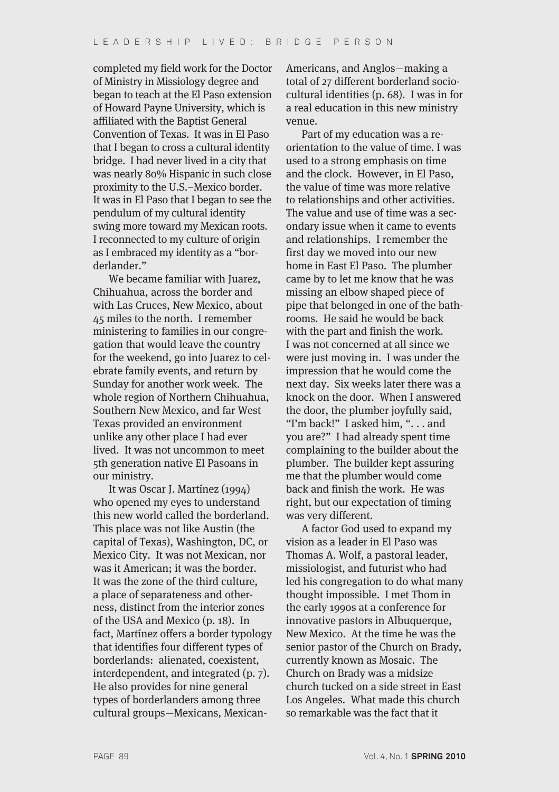completed my field work for the Doctor of Ministry in Missiology degree and began to teach at the El Paso extension of Howard Payne University, which is affiliated with the Baptist General Convention of Texas. It was in El Paso that I began to cross a cultural identity bridge. I had never lived in a city that was nearly 80% Hispanic in such close proximity to the U.S.–Mexico border. It was in El Paso that I began to see the pendulum of my cultural identity swing more toward my Mexican roots. I reconnected to my culture of origin as I embraced my identity as a "borderlander."

We became familiar with Juarez, Chihuahua, across the border and with Las Cruces, New Mexico, about 45 miles to the north. I remember ministering to families in our congregation that would leave the country for the weekend, go into Juarez to celebrate family events, and return by Sunday for another work week. The whole region of Northern Chihuahua, Southern New Mexico, and far West Texas provided an environment unlike any other place I had ever lived. It was not uncommon to meet 5th generation native El Pasoans in our ministry.

It was Oscar J. Martínez (1994) who opened my eyes to understand this new world called the borderland. This place was not like Austin (the capital of Texas), Washington, DC, or Mexico City. It was not Mexican, nor was it American; it was the border. It was the zone of the third culture, a place of separateness and otherness, distinct from the interior zones of the USA and Mexico (p. 18). In fact, Martínez offers a border typology that identifies four different types of borderlands: alienated, coexistent, interdependent, and integrated (p. 7). He also provides for nine general types of borderlanders among three cultural groups—Mexicans, MexicanAmericans, and Anglos—making a total of 27 different borderland sociocultural identities (p. 68). I was in for a real education in this new ministry venue.

Part of my education was a reorientation to the value of time. I was used to a strong emphasis on time and the clock. However, in El Paso, the value of time was more relative to relationships and other activities. The value and use of time was a secondary issue when it came to events and relationships. I remember the first day we moved into our new home in East El Paso. The plumber came by to let me know that he was missing an elbow shaped piece of pipe that belonged in one of the bathrooms. He said he would be back with the part and finish the work. I was not concerned at all since we were just moving in. I was under the impression that he would come the next day. Six weeks later there was a knock on the door. When I answered the door, the plumber joyfully said, "I'm back!" I asked him, ". . . and you are?" I had already spent time complaining to the builder about the plumber. The builder kept assuring me that the plumber would come back and finish the work. He was right, but our expectation of timing was very different.

A factor God used to expand my vision as a leader in El Paso was Thomas A. Wolf, a pastoral leader, missiologist, and futurist who had led his congregation to do what many thought impossible. I met Thom in the early 1990s at a conference for innovative pastors in Albuquerque. New Mexico. At the time he was the senior pastor of the Church on Brady, currently known as Mosaic. The Church on Brady was a midsize church tucked on a side street in East Los Angeles. What made this church so remarkable was the fact that it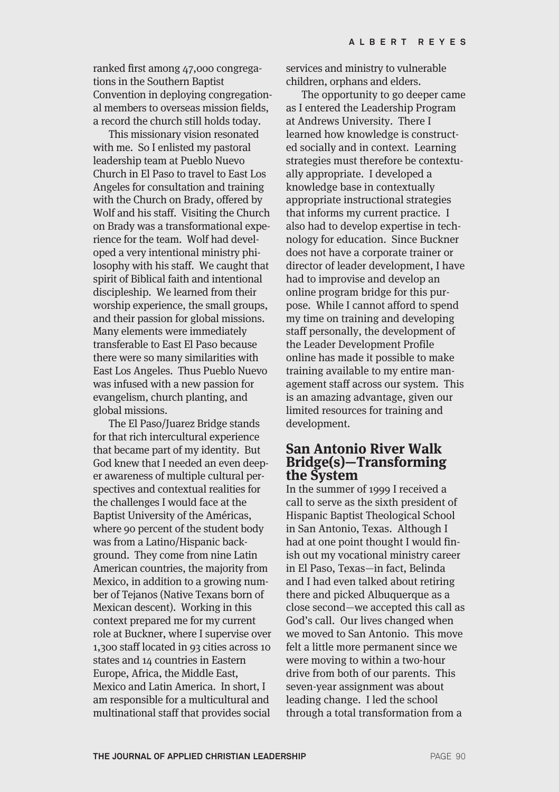ranked first among 47,000 congregations in the Southern Baptist Convention in deploying congregational members to overseas mission fields, a record the church still holds today.

This missionary vision resonated with me. So I enlisted my pastoral leadership team at Pueblo Nuevo Church in El Paso to travel to East Los Angeles for consultation and training with the Church on Brady, offered by Wolf and his staff. Visiting the Church on Brady was a transformational experience for the team. Wolf had developed a very intentional ministry philosophy with his staff. We caught that spirit of Biblical faith and intentional discipleship. We learned from their worship experience, the small groups, and their passion for global missions. Many elements were immediately transferable to East El Paso because there were so many similarities with East Los Angeles. Thus Pueblo Nuevo was infused with a new passion for evangelism, church planting, and global missions.

The El Paso/Juarez Bridge stands for that rich intercultural experience that became part of my identity. But God knew that I needed an even deeper awareness of multiple cultural perspectives and contextual realities for the challenges I would face at the Baptist University of the Américas, where 90 percent of the student body was from a Latino/Hispanic background. They come from nine Latin American countries, the majority from Mexico, in addition to a growing number of Tejanos (Native Texans born of Mexican descent). Working in this context prepared me for my current role at Buckner, where I supervise over 1,300 staff located in 93 cities across 10 states and 14 countries in Eastern Europe, Africa, the Middle East, Mexico and Latin America. In short, I am responsible for a multicultural and multinational staff that provides social

services and ministry to vulnerable children, orphans and elders.

The opportunity to go deeper came as I entered the Leadership Program at Andrews University. There I learned how knowledge is constructed socially and in context. Learning strategies must therefore be contextually appropriate. I developed a knowledge base in contextually appropriate instructional strategies that informs my current practice. I also had to develop expertise in technology for education. Since Buckner does not have a corporate trainer or director of leader development, I have had to improvise and develop an online program bridge for this purpose. While I cannot afford to spend my time on training and developing staff personally, the development of the Leader Development Profile online has made it possible to make training available to my entire management staff across our system. This is an amazing advantage, given our limited resources for training and development.

#### **San Antonio River Walk Bridge(s)—Transforming the System**

In the summer of 1999 I received a call to serve as the sixth president of Hispanic Baptist Theological School in San Antonio, Texas. Although I had at one point thought I would finish out my vocational ministry career in El Paso, Texas—in fact, Belinda and I had even talked about retiring there and picked Albuquerque as a close second—we accepted this call as God's call. Our lives changed when we moved to San Antonio. This move felt a little more permanent since we were moving to within a two-hour drive from both of our parents. This seven-year assignment was about leading change. I led the school through a total transformation from a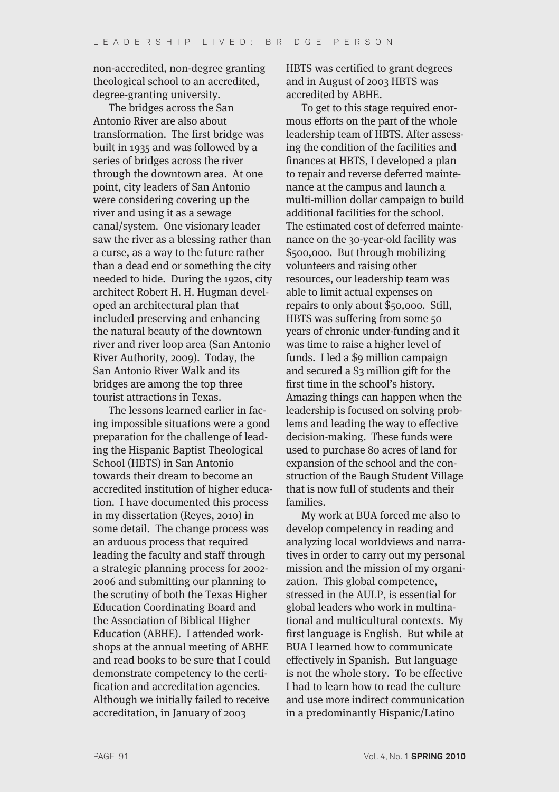non-accredited, non-degree granting theological school to an accredited, degree-granting university.

The bridges across the San Antonio River are also about transformation. The first bridge was built in 1935 and was followed by a series of bridges across the river through the downtown area. At one point, city leaders of San Antonio were considering covering up the river and using it as a sewage canal/system. One visionary leader saw the river as a blessing rather than a curse, as a way to the future rather than a dead end or something the city needed to hide. During the 1920s, city architect Robert H. H. Hugman developed an architectural plan that included preserving and enhancing the natural beauty of the downtown river and river loop area (San Antonio River Authority, 2009). Today, the San Antonio River Walk and its bridges are among the top three tourist attractions in Texas.

The lessons learned earlier in facing impossible situations were a good preparation for the challenge of leading the Hispanic Baptist Theological School (HBTS) in San Antonio towards their dream to become an accredited institution of higher education. I have documented this process in my dissertation (Reyes, 2010) in some detail. The change process was an arduous process that required leading the faculty and staff through a strategic planning process for 2002- 2006 and submitting our planning to the scrutiny of both the Texas Higher Education Coordinating Board and the Association of Biblical Higher Education (ABHE). I attended workshops at the annual meeting of ABHE and read books to be sure that I could demonstrate competency to the certification and accreditation agencies. Although we initially failed to receive accreditation, in January of 2003

HBTS was certified to grant degrees and in August of 2003 HBTS was accredited by ABHE.

To get to this stage required enormous efforts on the part of the whole leadership team of HBTS. After assessing the condition of the facilities and finances at HBTS, I developed a plan to repair and reverse deferred maintenance at the campus and launch a multi-million dollar campaign to build additional facilities for the school. The estimated cost of deferred maintenance on the 30-year-old facility was \$500,000. But through mobilizing volunteers and raising other resources, our leadership team was able to limit actual expenses on repairs to only about \$50,000. Still, HBTS was suffering from some 50 years of chronic under-funding and it was time to raise a higher level of funds. I led a \$9 million campaign and secured a \$3 million gift for the first time in the school's history. Amazing things can happen when the leadership is focused on solving problems and leading the way to effective decision-making. These funds were used to purchase 80 acres of land for expansion of the school and the construction of the Baugh Student Village that is now full of students and their families.

My work at BUA forced me also to develop competency in reading and analyzing local worldviews and narratives in order to carry out my personal mission and the mission of my organization. This global competence, stressed in the AULP, is essential for global leaders who work in multinational and multicultural contexts. My first language is English. But while at BUA I learned how to communicate effectively in Spanish. But language is not the whole story. To be effective I had to learn how to read the culture and use more indirect communication in a predominantly Hispanic/Latino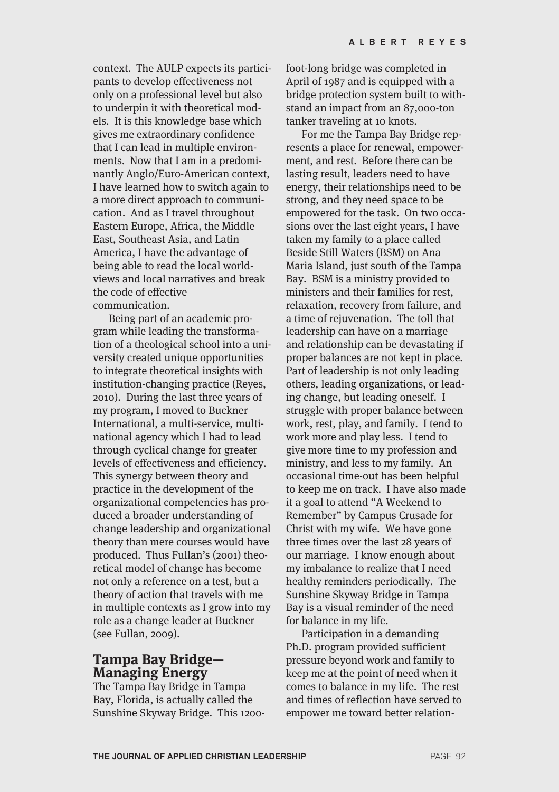context. The AULP expects its participants to develop effectiveness not only on a professional level but also to underpin it with theoretical models. It is this knowledge base which gives me extraordinary confidence that I can lead in multiple environments. Now that I am in a predominantly Anglo/Euro-American context, I have learned how to switch again to a more direct approach to communication. And as I travel throughout Eastern Europe, Africa, the Middle East, Southeast Asia, and Latin America, I have the advantage of being able to read the local worldviews and local narratives and break the code of effective communication.

Being part of an academic program while leading the transformation of a theological school into a university created unique opportunities to integrate theoretical insights with institution-changing practice (Reyes, 2010). During the last three years of my program, I moved to Buckner International, a multi-service, multinational agency which I had to lead through cyclical change for greater levels of effectiveness and efficiency. This synergy between theory and practice in the development of the organizational competencies has produced a broader understanding of change leadership and organizational theory than mere courses would have produced. Thus Fullan's (2001) theoretical model of change has become not only a reference on a test, but a theory of action that travels with me in multiple contexts as I grow into my role as a change leader at Buckner (see Fullan, 2009).

### **Tampa Bay Bridge— Managing Energy**

The Tampa Bay Bridge in Tampa Bay, Florida, is actually called the Sunshine Skyway Bridge. This 1200foot-long bridge was completed in April of 1987 and is equipped with a bridge protection system built to withstand an impact from an 87,000-ton tanker traveling at 10 knots.

For me the Tampa Bay Bridge represents a place for renewal, empowerment, and rest. Before there can be lasting result, leaders need to have energy, their relationships need to be strong, and they need space to be empowered for the task. On two occasions over the last eight years, I have taken my family to a place called Beside Still Waters (BSM) on Ana Maria Island, just south of the Tampa Bay. BSM is a ministry provided to ministers and their families for rest, relaxation, recovery from failure, and a time of rejuvenation. The toll that leadership can have on a marriage and relationship can be devastating if proper balances are not kept in place. Part of leadership is not only leading others, leading organizations, or leading change, but leading oneself. I struggle with proper balance between work, rest, play, and family. I tend to work more and play less. I tend to give more time to my profession and ministry, and less to my family. An occasional time-out has been helpful to keep me on track. I have also made it a goal to attend "A Weekend to Remember" by Campus Crusade for Christ with my wife. We have gone three times over the last 28 years of our marriage. I know enough about my imbalance to realize that I need healthy reminders periodically. The Sunshine Skyway Bridge in Tampa Bay is a visual reminder of the need for balance in my life.

Participation in a demanding Ph.D. program provided sufficient pressure beyond work and family to keep me at the point of need when it comes to balance in my life. The rest and times of reflection have served to empower me toward better relation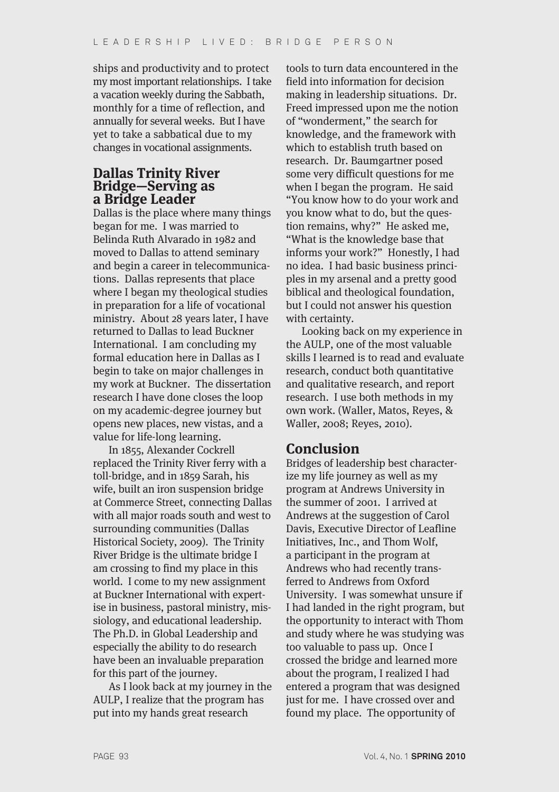ships and productivity and to protect my most important relationships. I take a vacation weekly during the Sabbath, monthly for a time of reflection, and annually for several weeks. But I have yet to take a sabbatical due to my changes in vocational assignments.

### **Dallas Trinity River Bridge—Serving as a Bridge Leader**

Dallas is the place where many things began for me. I was married to Belinda Ruth Alvarado in 1982 and moved to Dallas to attend seminary and begin a career in telecommunications. Dallas represents that place where I began my theological studies in preparation for a life of vocational ministry. About 28 years later, I have returned to Dallas to lead Buckner International. I am concluding my formal education here in Dallas as I begin to take on major challenges in my work at Buckner. The dissertation research I have done closes the loop on my academic-degree journey but opens new places, new vistas, and a value for life-long learning.

In 1855, Alexander Cockrell replaced the Trinity River ferry with a toll-bridge, and in 1859 Sarah, his wife, built an iron suspension bridge at Commerce Street, connecting Dallas with all major roads south and west to surrounding communities (Dallas Historical Society, 2009). The Trinity River Bridge is the ultimate bridge I am crossing to find my place in this world. I come to my new assignment at Buckner International with expertise in business, pastoral ministry, missiology, and educational leadership. The Ph.D. in Global Leadership and especially the ability to do research have been an invaluable preparation for this part of the journey.

As I look back at my journey in the AULP, I realize that the program has put into my hands great research

tools to turn data encountered in the field into information for decision making in leadership situations. Dr. Freed impressed upon me the notion of "wonderment," the search for knowledge, and the framework with which to establish truth based on research. Dr. Baumgartner posed some very difficult questions for me when I began the program. He said "You know how to do your work and you know what to do, but the question remains, why?" He asked me, "What is the knowledge base that informs your work?" Honestly, I had no idea. I had basic business principles in my arsenal and a pretty good biblical and theological foundation, but I could not answer his question with certainty.

Looking back on my experience in the AULP, one of the most valuable skills I learned is to read and evaluate research, conduct both quantitative and qualitative research, and report research. I use both methods in my own work. (Waller, Matos, Reyes, & Waller, 2008; Reyes, 2010).

### **Conclusion**

Bridges of leadership best characterize my life journey as well as my program at Andrews University in the summer of 2001. I arrived at Andrews at the suggestion of Carol Davis, Executive Director of Leafline Initiatives, Inc., and Thom Wolf, a participant in the program at Andrews who had recently transferred to Andrews from Oxford University. I was somewhat unsure if I had landed in the right program, but the opportunity to interact with Thom and study where he was studying was too valuable to pass up. Once I crossed the bridge and learned more about the program, I realized I had entered a program that was designed just for me. I have crossed over and found my place. The opportunity of